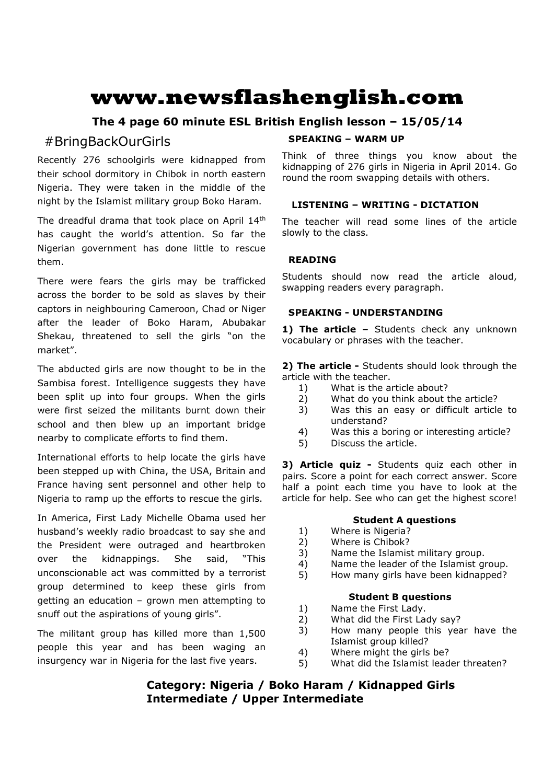# **www.newsflashenglish.com**

# **The 4 page 60 minute ESL British English lesson – 15/05/14**

# #BringBackOurGirls

Recently 276 schoolgirls were kidnapped from their school dormitory in Chibok in north eastern Nigeria. They were taken in the middle of the night by the Islamist military group Boko Haram.

The dreadful drama that took place on April 14<sup>th</sup> has caught the world's attention. So far the Nigerian government has done little to rescue them.

There were fears the girls may be trafficked across the border to be sold as slaves by their captors in neighbouring Cameroon, Chad or Niger after the leader of Boko Haram, Abubakar Shekau, threatened to sell the girls "on the market".

The abducted girls are now thought to be in the Sambisa forest. Intelligence suggests they have been split up into four groups. When the girls were first seized the militants burnt down their school and then blew up an important bridge nearby to complicate efforts to find them.

International efforts to help locate the girls have been stepped up with China, the USA, Britain and France having sent personnel and other help to Nigeria to ramp up the efforts to rescue the girls.

In America, First Lady Michelle Obama used her husband's weekly radio broadcast to say she and the President were outraged and heartbroken over the kidnappings. She said, "This unconscionable act was committed by a terrorist group determined to keep these girls from getting an education – grown men attempting to snuff out the aspirations of young girls".

The militant group has killed more than 1,500 people this year and has been waging an insurgency war in Nigeria for the last five years.

# **SPEAKING – WARM UP**

Think of three things you know about the kidnapping of 276 girls in Nigeria in April 2014. Go round the room swapping details with others.

# **LISTENING – WRITING - DICTATION**

The teacher will read some lines of the article slowly to the class.

# **READING**

Students should now read the article aloud, swapping readers every paragraph.

# **SPEAKING - UNDERSTANDING**

1) The article - Students check any unknown vocabulary or phrases with the teacher.

**2) The article -** Students should look through the article with the teacher.

- 1) What is the article about?
- 2) What do you think about the article?
- 3) Was this an easy or difficult article to understand?
- 4) Was this a boring or interesting article?
- 5) Discuss the article.

**3) Article quiz -** Students quiz each other in pairs. Score a point for each correct answer. Score half a point each time you have to look at the article for help. See who can get the highest score!

## **Student A questions**

- 1) Where is Nigeria?
- 2) Where is Chibok?
- 3) Name the Islamist military group.
- 4) Name the leader of the Islamist group.
- 5) How many girls have been kidnapped?

# **Student B questions**

- 1) Name the First Lady.
- 2) What did the First Lady say?
- 3) How many people this year have the Islamist group killed?
- 4) Where might the girls be?
- 5) What did the Islamist leader threaten?

# **Category: Nigeria / Boko Haram / Kidnapped Girls Intermediate / Upper Intermediate**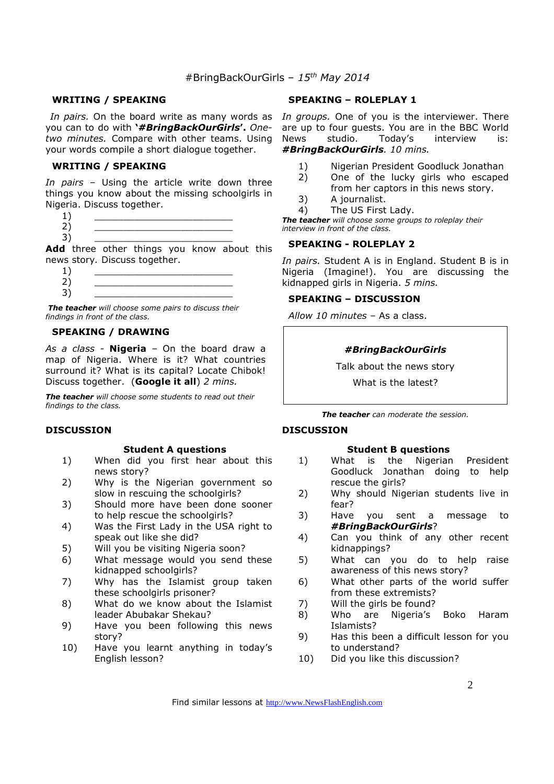#### **WRITING / SPEAKING**

you can to do with **'***#BringBackOurGirls***'.** *Onetwo minutes.* Compare with other teams. Using your words compile a short dialogue together.

#### **WRITING / SPEAKING**

*In pairs* – Using the article write down three things you know about the missing schoolgirls in Nigeria. Discuss together.

 $1)$   $\qquad \qquad$ 2) \_\_\_\_\_\_\_\_\_\_\_\_\_\_\_\_\_\_\_\_\_\_\_\_ 3) \_\_\_\_\_\_\_\_\_\_\_\_\_\_\_\_\_\_\_\_\_\_\_\_

Add three other things you know about this news story*.* Discuss together.

 $1)$   $\qquad \qquad$ 2) \_\_\_\_\_\_\_\_\_\_\_\_\_\_\_\_\_\_\_\_\_\_\_\_ 3) \_\_\_\_\_\_\_\_\_\_\_\_\_\_\_\_\_\_\_\_\_\_\_\_

 *The teacher will choose some pairs to discuss their findings in front of the class.* 

# **SPEAKING / DRAWING**

*As a class -* **Nigeria** – On the board draw a map of Nigeria. Where is it? What countries surround it? What is its capital? Locate Chibok! Discuss together. (**Google it all**) *2 mins.* 

*The teacher will choose some students to read out their findings to the class.* 

#### **DISCUSSION**

#### **Student A questions**

- 1) When did you first hear about this news story?
- 2) Why is the Nigerian government so slow in rescuing the schoolgirls?
- 3) Should more have been done sooner to help rescue the schoolgirls?
- 4) Was the First Lady in the USA right to speak out like she did?
- 5) Will you be visiting Nigeria soon?
- 6) What message would you send these kidnapped schoolgirls?
- 7) Why has the Islamist group taken these schoolgirls prisoner?
- 8) What do we know about the Islamist leader Abubakar Shekau?
- 9) Have you been following this news story?
- 10) Have you learnt anything in today's English lesson?

#### **SPEAKING – ROLEPLAY 1**

In pairs. On the board write as many words as In groups. One of you is the interviewer. There are up to four guests. You are in the BBC World<br>News studio. Todav's interview is: News studio. Today's interview is: *#BringBackOurGirls. 10 mins.* 

- 1) Nigerian President Goodluck Jonathan
- 2) One of the lucky girls who escaped from her captors in this news story.
- 3) A journalist.
- 4) The US First Lady.

*The teacher will choose some groups to roleplay their interview in front of the class.* 

#### **SPEAKING - ROLEPLAY 2**

*In pairs.* Student A is in England. Student B is in Nigeria (Imagine!). You are discussing the kidnapped girls in Nigeria. *5 mins.* 

#### **SPEAKING – DISCUSSION**

*Allow 10 minutes* – As a class.

#### *#BringBackOurGirls*

Talk about the news story

What is the latest?

*The teacher can moderate the session.*

#### **DISCUSSION**

#### **Student B questions**

- 1) What is the Nigerian President Goodluck Jonathan doing to help rescue the girls?
- 2) Why should Nigerian students live in fear?
- 3) Have you sent a message to *#BringBackOurGirls*?
- 4) Can you think of any other recent kidnappings?
- 5) What can you do to help raise awareness of this news story?
- 6) What other parts of the world suffer from these extremists?
- 7) Will the girls be found?
- 8) Who are Nigeria's Boko Haram Islamists?
- 9) Has this been a difficult lesson for you to understand?
- 10) Did you like this discussion?

Find similar lessons at http://www.NewsFlashEnglish.com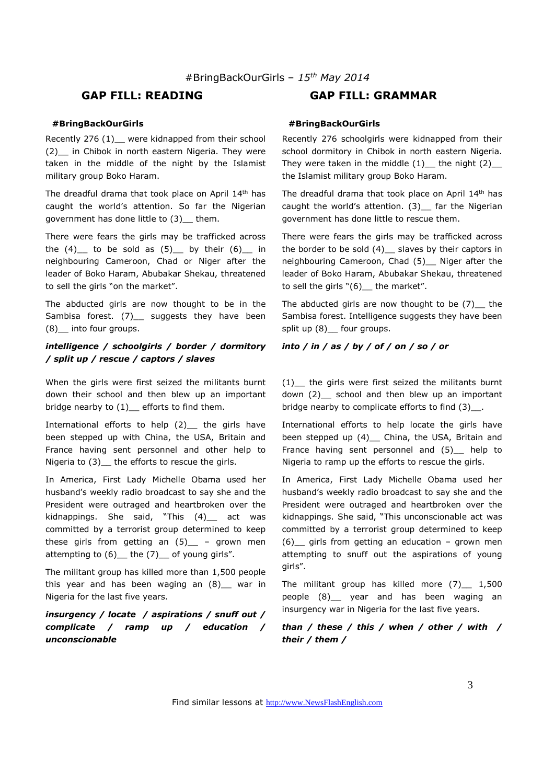#### **#BringBackOurGirls**

Recently 276 (1) were kidnapped from their school (2) in Chibok in north eastern Nigeria. They were taken in the middle of the night by the Islamist military group Boko Haram.

The dreadful drama that took place on April 14th has caught the world's attention. So far the Nigerian government has done little to (3)\_\_ them.

There were fears the girls may be trafficked across the  $(4)$  to be sold as  $(5)$  by their  $(6)$  in neighbouring Cameroon, Chad or Niger after the leader of Boko Haram, Abubakar Shekau, threatened to sell the girls "on the market".

The abducted girls are now thought to be in the Sambisa forest. (7) suggests they have been (8)\_\_ into four groups.

#### *intelligence / schoolgirls / border / dormitory / split up / rescue / captors / slaves*

When the girls were first seized the militants burnt down their school and then blew up an important bridge nearby to (1) efforts to find them.

International efforts to help  $(2)$  the girls have been stepped up with China, the USA, Britain and France having sent personnel and other help to Nigeria to (3) the efforts to rescue the girls.

In America, First Lady Michelle Obama used her husband's weekly radio broadcast to say she and the President were outraged and heartbroken over the kidnappings. She said, "This (4) act was committed by a terrorist group determined to keep these girls from getting an  $(5)$  – grown men attempting to  $(6)$  the  $(7)$  of young girls".

The militant group has killed more than 1,500 people this year and has been waging an  $(8)$  war in Nigeria for the last five years.

### *insurgency / locate / aspirations / snuff out / complicate / ramp up / education / unconscionable*

# **GAP FILL: READING GAP FILL: GRAMMAR**

#### **#BringBackOurGirls**

Recently 276 schoolgirls were kidnapped from their school dormitory in Chibok in north eastern Nigeria. They were taken in the middle  $(1)$  the night  $(2)$ the Islamist military group Boko Haram.

The dreadful drama that took place on April 14th has caught the world's attention. (3) \_ far the Nigerian government has done little to rescue them.

There were fears the girls may be trafficked across the border to be sold  $(4)$  slaves by their captors in neighbouring Cameroon, Chad (5)\_\_ Niger after the leader of Boko Haram, Abubakar Shekau, threatened to sell the girls  $"(6)$  the market".

The abducted girls are now thought to be  $(7)$  the Sambisa forest. Intelligence suggests they have been split up (8) four groups.

#### *into / in / as / by / of / on / so / or*

(1)\_\_ the girls were first seized the militants burnt down (2) school and then blew up an important bridge nearby to complicate efforts to find (3) .

International efforts to help locate the girls have been stepped up (4)\_ China, the USA, Britain and France having sent personnel and (5) help to Nigeria to ramp up the efforts to rescue the girls.

In America, First Lady Michelle Obama used her husband's weekly radio broadcast to say she and the President were outraged and heartbroken over the kidnappings. She said, "This unconscionable act was committed by a terrorist group determined to keep (6) girls from getting an education – grown men attempting to snuff out the aspirations of young girls".

The militant group has killed more (7) 1,500 people (8)\_\_ year and has been waging an insurgency war in Nigeria for the last five years.

*than / these / this / when / other / with / their / them /*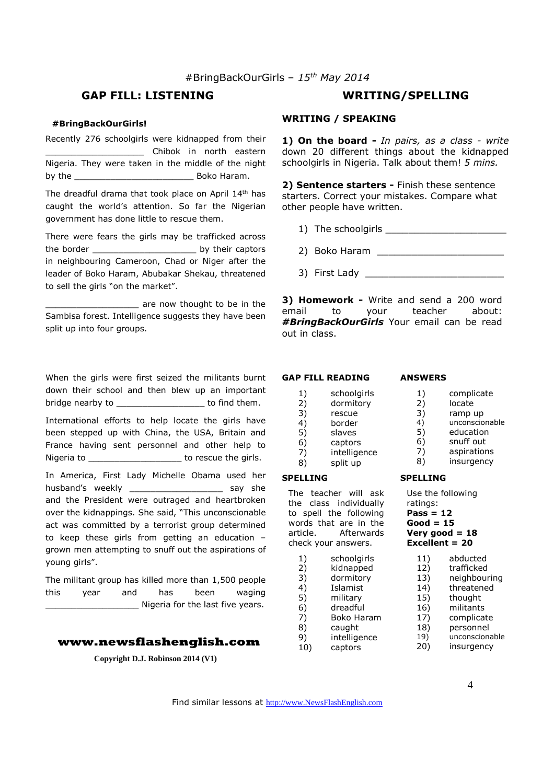# **GAP FILL: LISTENING WRITING/SPELLING**

#### **#BringBackOurGirls!**

Recently 276 schoolgirls were kidnapped from their \_\_\_\_\_\_\_\_\_\_\_\_\_\_\_\_\_\_\_ Chibok in north eastern Nigeria. They were taken in the middle of the night by the \_\_\_\_\_\_\_\_\_\_\_\_\_\_\_\_\_\_\_\_\_\_\_ Boko Haram.

The dreadful drama that took place on April 14th has caught the world's attention. So far the Nigerian government has done little to rescue them.

There were fears the girls may be trafficked across the border \_\_\_\_\_\_\_\_\_\_\_\_\_\_\_\_\_\_\_\_ by their captors in neighbouring Cameroon, Chad or Niger after the leader of Boko Haram, Abubakar Shekau, threatened to sell the girls "on the market".

 $\_$  are now thought to be in the Sambisa forest. Intelligence suggests they have been split up into four groups.

When the girls were first seized the militants burnt down their school and then blew up an important bridge nearby to \_\_\_\_\_\_\_\_\_\_\_\_\_\_\_\_\_\_\_\_\_\_ to find them.

International efforts to help locate the girls have been stepped up with China, the USA, Britain and France having sent personnel and other help to Nigeria to **Nigeria** to **nightle** to rescue the girls.

In America, First Lady Michelle Obama used her husband's weekly \_\_\_\_\_\_\_\_\_\_\_\_\_\_\_\_\_\_\_\_\_ say she and the President were outraged and heartbroken over the kidnappings. She said, "This unconscionable act was committed by a terrorist group determined to keep these girls from getting an education – grown men attempting to snuff out the aspirations of young girls".

The militant group has killed more than 1,500 people this year and has been waging \_\_\_\_\_\_\_\_\_\_\_\_\_\_\_\_\_\_ Nigeria for the last five years.

#### **www.newsflashenglish.com**

**Copyright D.J. Robinson 2014 (V1)** 

# **WRITING / SPEAKING**

**1) On the board -** *In pairs, as a class - write* down 20 different things about the kidnapped schoolgirls in Nigeria. Talk about them! *5 mins.* 

**2) Sentence starters -** Finish these sentence starters. Correct your mistakes. Compare what other people have written.

- 1) The schoolgirls \_\_\_\_\_\_\_\_\_\_\_\_\_\_\_\_\_\_\_\_\_
- 2) Boko Haram \_\_\_\_\_\_\_\_\_\_\_\_\_\_\_\_\_\_\_\_\_\_
- 3) First Lady

**3) Homework -** Write and send a 200 word email to your teacher about: *#BringBackOurGirls* Your email can be read out in class.

#### **GAP FILL READING**

4) border 5) slaves 6) captors 7) intelligence<br>8) split up split up

The teacher will ask the class individually to spell the following words that are in the article. Afterwards check your answers.

1) schoolgirls<br>2) kidnapped 2) kidnapped

3) dormitory 4) Islamist 5) military 6) dreadful 7) Boko Haram 8) caught 9) intelligence 10) captors

**SPELLING** 

# **ANSWERS**

1) schoolgirls<br>2) dormitory 2) dormitory<br>3) rescue

rescue

- 1) complicate<br>2) locate
- 2) locate<br>3) ramp u
- ramp up
- 4) unconscionable<br>5) education
	- education
- 6) snuff out
- 7) aspirations
- 8) insurgency

#### **SPELLING**

Use the following ratings: **Pass = 12 Good = 15 Very good = 18 Excellent = 20** 

- 11) abducted<br>12) trafficked trafficked 13) neighbouring 14) threatened 15) thought
- 16) militants
- 17) complicate
- 18) personnel
- 19) unconscionable
- 20) insurgency